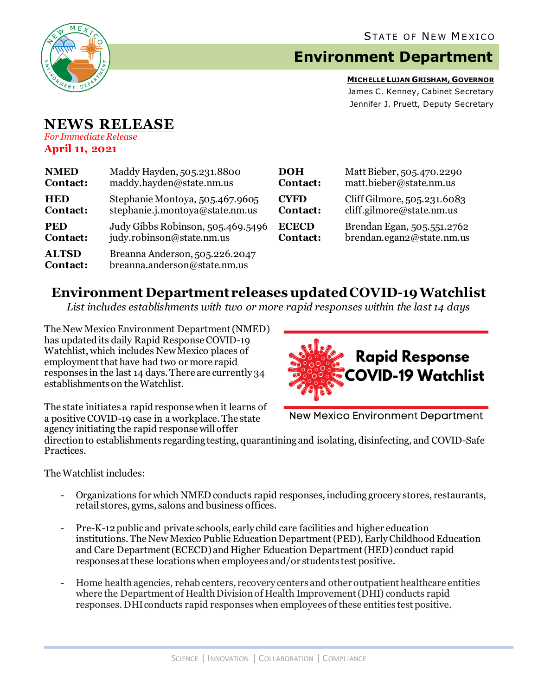

## **Environment Department**

**MICHELLE LUJAN GRISHAM, GOVERNOR** James C. Kenney, Cabinet Secretary Jennifer J. Pruett, Deputy Secretary

# **NEWS RELEASE**

*For Immediate Release* **April 11, 2021**

| <b>NMED</b>                     | Maddy Hayden, 505.231.8800                                     | DOH          | Matt Bieber, 505.470.2290   |
|---------------------------------|----------------------------------------------------------------|--------------|-----------------------------|
| Contact:                        | maddy.hayden@state.nm.us                                       | Contact:     | matt.bieber@state.nm.us     |
| <b>HED</b>                      | Stephanie Montoya, 505.467.9605                                | <b>CYFD</b>  | Cliff Gilmore, 505.231.6083 |
| Contact:                        | stephanie.j.montoya@state.nm.us                                | Contact:     | cliff.gilmore@state.nm.us   |
| <b>PED</b>                      | Judy Gibbs Robinson, 505.469.5496                              | <b>ECECD</b> | Brendan Egan, 505.551.2762  |
| Contact:                        | judy.robinson@state.nm.us                                      | Contact:     | brendan.egan2@state.nm.us   |
| <b>ALTSD</b><br><b>Contact:</b> | Breanna Anderson, 505.226.2047<br>breanna.anderson@state.nm.us |              |                             |

#### **Environment Department releases updated COVID-19 Watchlist**

*List includes establishments with two or more rapid responses within the last 14 days*

The New Mexico Environment Department(NMED) has updated its daily Rapid Response COVID-19 Watchlist, which includes New Mexico places of employment that have had two or more rapid responses in the last 14 days. There are currently 34 establishments on the Watchlist.



The state initiates a rapid response when it learns of a positive COVID-19 case in a workplace. The state agency initiating the rapid response will offer

**New Mexico Environment Department** 

direction to establishments regarding testing, quarantining and isolating, disinfecting, and COVID-Safe Practices.

The Watchlist includes:

- Organizations for which NMED conducts rapid responses, including grocery stores, restaurants, retail stores, gyms, salons and business offices.
- Pre-K-12 publicand private schools, early child care facilities and higher education institutions. The New Mexico Public Education Department (PED), Early Childhood Education and Care Department (ECECD) and Higher Education Department (HED) conduct rapid responses at these locations when employees and/or students test positive.
- Home health agencies, rehab centers, recovery centers and other outpatient healthcare entities where the Department of Health Division of Health Improvement (DHI) conducts rapid responses. DHIconducts rapid responses when employees of these entities test positive.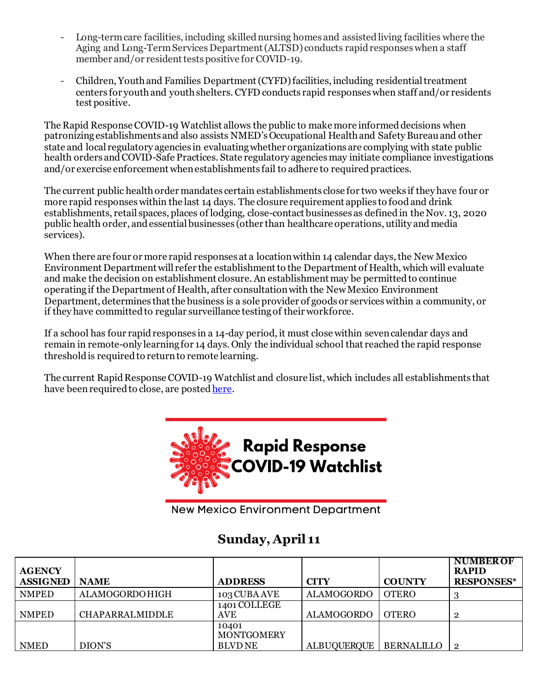- Long-term care facilities, including skilled nursing homes and assisted living facilities where the Aging and Long-Term Services Department (ALTSD) conducts rapid responses when a staff member and/or resident tests positive for COVID-19.
- Children, Youth and Families Department (CYFD)facilities, including residential treatment centers for youth and youth shelters.CYFD conducts rapid responses when staff and/or residents test positive.

The Rapid Response COVID-19 Watchlist allows the public to make more informed decisions when patronizing establishments and also assists NMED's Occupational Health and Safety Bureauand other state and local regulatory agencies in evaluating whether organizations are complying with state public health orders and COVID-Safe Practices. State regulatory agencies may initiate compliance investigations and/or exercise enforcement when establishments fail to adhere to required practices.

The current public health order mandates certain establishments close for two weeks if they have four or more rapid responses within the last 14 days. The closure requirement applies to food and drink establishments, retail spaces, places of lodging, close-contact businesses as defined in the Nov. 13, 2020 public health order, and essential businesses (other than healthcare operations, utility and media services).

When there are four or more rapid responses at a location within 14 calendar days, the New Mexico Environment Department will refer the establishment to the Department of Health, which will evaluate and make the decision on establishment closure. An establishment may be permitted to continue operating if the Department of Health, after consultation with the New Mexico Environment Department, determines that the business is a sole provider of goods or services within a community, or if they have committed to regular surveillance testing of their workforce.

If a school has four rapid responses in a 14-day period, it must close within seven calendar days and remain in remote-only learning for 14 days. Only the individual school that reached the rapid response threshold is required to return to remote learning.

The current Rapid Response COVID-19 Watchlist and closure list, which includes all establishments that have been required to close, are poste[d here.](https://www.env.nm.gov/rapid-response-data/)



**New Mexico Environment Department** 

### **Sunday, April 11**

| <b>AGENCY</b><br><b>ASSIGNED</b> | <b>NAME</b>            | <b>ADDRESS</b>                               | <b>CITY</b>       | <b>COUNTY</b> | <b>NUMBER OF</b><br><b>RAPID</b><br><b>RESPONSES*</b> |
|----------------------------------|------------------------|----------------------------------------------|-------------------|---------------|-------------------------------------------------------|
| <b>NMPED</b>                     | ALAMOGORDOHIGH         | 103 CUBA AVE                                 | <b>ALAMOGORDO</b> | <b>OTERO</b>  |                                                       |
| <b>NMPED</b>                     | <b>CHAPARRALMIDDLE</b> | 1401 COLLEGE<br>AVE                          | <b>ALAMOGORDO</b> | <b>OTERO</b>  | $\overline{2}$                                        |
| <b>NMED</b>                      | DION'S                 | 10401<br><b>MONTGOMERY</b><br><b>BLVD NE</b> | ALBUQUERQUE       | BERNALILLO    | $\mathsf{L}$                                          |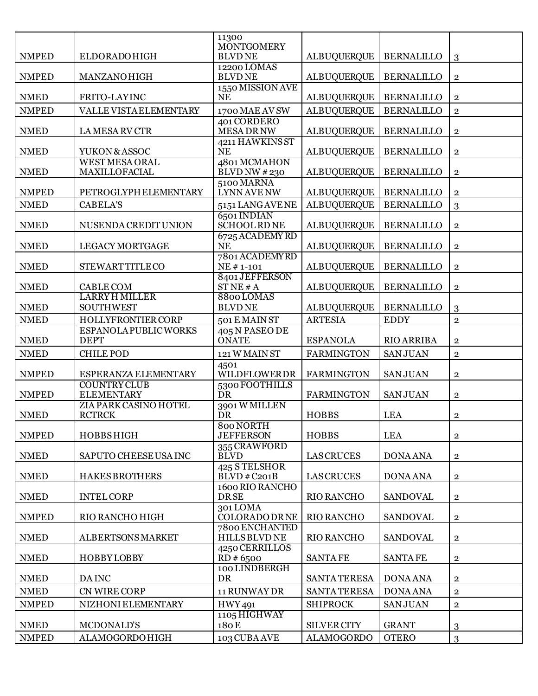|              |                                          | 11300<br><b>MONTGOMERY</b>             |                     |                   |                |
|--------------|------------------------------------------|----------------------------------------|---------------------|-------------------|----------------|
| <b>NMPED</b> | <b>ELDORADO HIGH</b>                     | <b>BLVDNE</b>                          | <b>ALBUQUERQUE</b>  | <b>BERNALILLO</b> | 3              |
| <b>NMPED</b> | <b>MANZANOHIGH</b>                       | 12200 LOMAS<br><b>BLVDNE</b>           | <b>ALBUQUERQUE</b>  | <b>BERNALILLO</b> | $\mathbf 2$    |
| <b>NMED</b>  | FRITO-LAYINC                             | 1550 MISSION AVE<br><b>NE</b>          | <b>ALBUQUERQUE</b>  | <b>BERNALILLO</b> | $\mathbf 2$    |
| <b>NMPED</b> | VALLE VISTAELEMENTARY                    | 1700 MAE AV SW                         | <b>ALBUQUERQUE</b>  | <b>BERNALILLO</b> | $\overline{2}$ |
| <b>NMED</b>  | LA MESA RV CTR                           | 401 CORDERO<br><b>MESADRNW</b>         | <b>ALBUQUERQUE</b>  | <b>BERNALILLO</b> | $\mathbf 2$    |
| <b>NMED</b>  | YUKON & ASSOC                            | 4211 HAWKINS ST<br><b>NE</b>           | <b>ALBUQUERQUE</b>  | <b>BERNALILLO</b> | $\overline{2}$ |
| <b>NMED</b>  | <b>WEST MESA ORAL</b><br>MAXILLOFACIAL   | 4801 MCMAHON<br><b>BLVD NW #230</b>    | <b>ALBUQUERQUE</b>  | <b>BERNALILLO</b> | $\mathbf 2$    |
| <b>NMPED</b> | PETROGLYPH ELEMENTARY                    | 5100 MARNA<br><b>LYNN AVE NW</b>       | <b>ALBUQUERQUE</b>  | <b>BERNALILLO</b> | $\overline{2}$ |
| <b>NMED</b>  | <b>CABELA'S</b>                          | 5151 LANGAVENE                         | <b>ALBUQUERQUE</b>  | <b>BERNALILLO</b> | 3              |
| <b>NMED</b>  | NUSENDA CREDIT UNION                     | 6501 INDIAN<br><b>SCHOOL RD NE</b>     | <b>ALBUQUERQUE</b>  | <b>BERNALILLO</b> | $\overline{2}$ |
| <b>NMED</b>  | <b>LEGACY MORTGAGE</b>                   | 6725 ACADEMY RD<br><b>NE</b>           | <b>ALBUQUERQUE</b>  | <b>BERNALILLO</b> | $\mathbf 2$    |
| <b>NMED</b>  | <b>STEWART TITLE CO</b>                  | 7801 ACADEMYRD<br>NE #1-101            | <b>ALBUQUERQUE</b>  | <b>BERNALILLO</b> | $\overline{2}$ |
| <b>NMED</b>  | <b>CABLE COM</b>                         | 8401 JEFFERSON<br>STNE#A               | <b>ALBUQUERQUE</b>  | <b>BERNALILLO</b> | $\mathbf 2$    |
| <b>NMED</b>  | <b>LARRY H MILLER</b><br>SOUTHWEST       | 8800 LOMAS<br><b>BLVDNE</b>            | <b>ALBUQUERQUE</b>  | <b>BERNALILLO</b> | 3              |
| <b>NMED</b>  | <b>HOLLYFRONTIER CORP</b>                | 501 E MAIN ST                          | <b>ARTESIA</b>      | <b>EDDY</b>       | $\overline{2}$ |
| <b>NMED</b>  | ESPANOLA PUBLIC WORKS<br><b>DEPT</b>     | 405 N PASEO DE<br><b>ONATE</b>         | <b>ESPANOLA</b>     | <b>RIO ARRIBA</b> | $\bf 2$        |
| <b>NMED</b>  | <b>CHILE POD</b>                         | 121 W MAIN ST                          | <b>FARMINGTON</b>   | <b>SANJUAN</b>    | $\sqrt{2}$     |
| <b>NMPED</b> | ESPERANZA ELEMENTARY                     | 4501<br>WILDFLOWERDR                   | <b>FARMINGTON</b>   | <b>SANJUAN</b>    | $\bf 2$        |
| <b>NMPED</b> | <b>COUNTRY CLUB</b><br><b>ELEMENTARY</b> | 5300 FOOTHILLS<br>DR                   | <b>FARMINGTON</b>   | <b>SANJUAN</b>    | $\overline{2}$ |
| <b>NMED</b>  | ZIA PARK CASINO HOTEL<br><b>RCTRCK</b>   | 3901 W MILLEN<br><b>DR</b>             | <b>HOBBS</b>        | <b>LEA</b>        | $\overline{2}$ |
| <b>NMPED</b> | <b>HOBBSHIGH</b>                         | 800 NORTH<br><b>JEFFERSON</b>          | <b>HOBBS</b>        | <b>LEA</b>        | $\mathbf{2}$   |
| <b>NMED</b>  | SAPUTO CHEESE USA INC                    | 355 CRAWFORD<br><b>BLVD</b>            | <b>LAS CRUCES</b>   | <b>DONA ANA</b>   | $\overline{2}$ |
| <b>NMED</b>  | <b>HAKES BROTHERS</b>                    | 425 STELSHOR<br>$BLVD$ #C201B          | <b>LAS CRUCES</b>   | <b>DONA ANA</b>   | $\overline{2}$ |
| <b>NMED</b>  | <b>INTEL CORP</b>                        | 1600 RIO RANCHO<br><b>DRSE</b>         | RIO RANCHO          | <b>SANDOVAL</b>   | $\overline{2}$ |
| <b>NMPED</b> | RIO RANCHO HIGH                          | 301LOMA<br><b>COLORADO DR NE</b>       | RIO RANCHO          | <b>SANDOVAL</b>   | $\mathbf{2}$   |
| <b>NMED</b>  | ALBERTSONS MARKET                        | 7800 ENCHANTED<br><b>HILLS BLVD NE</b> | RIO RANCHO          | <b>SANDOVAL</b>   | $\mathbf{2}$   |
| <b>NMED</b>  | <b>HOBBYLOBBY</b>                        | 4250 CERRILLOS<br>RD # 6500            | <b>SANTAFE</b>      | <b>SANTA FE</b>   | $\mathbf{2}$   |
| <b>NMED</b>  | <b>DAINC</b>                             | 100 LINDBERGH<br><b>DR</b>             | <b>SANTA TERESA</b> | <b>DONA ANA</b>   | $\mathbf{2}$   |
| <b>NMED</b>  | CN WIRE CORP                             | 11 RUNWAY DR                           | <b>SANTA TERESA</b> | <b>DONA ANA</b>   | $\overline{2}$ |
| <b>NMPED</b> | NIZHONI ELEMENTARY                       | <b>HWY491</b>                          | <b>SHIPROCK</b>     | <b>SANJUAN</b>    | $\bf 2$        |
| <b>NMED</b>  | MCDONALD'S                               | 1105 HIGHWAY<br>180E                   | <b>SILVER CITY</b>  | <b>GRANT</b>      | 3              |
| <b>NMPED</b> | <b>ALAMOGORDOHIGH</b>                    | 103 CUBA AVE                           | <b>ALAMOGORDO</b>   | <b>OTERO</b>      | 3              |